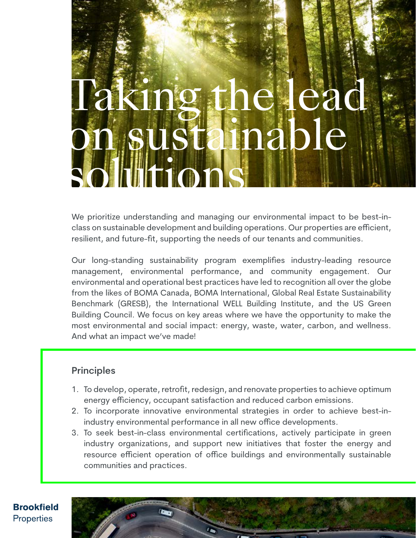# e lea ainable solititions

We prioritize understanding and managing our environmental impact to be best-inclass on sustainable development and building operations. Our properties are efficient, resilient, and future-fit, supporting the needs of our tenants and communities.

Our long-standing sustainability program exemplifies industry-leading resource management, environmental performance, and community engagement. Our environmental and operational best practices have led to recognition all over the globe from the likes of BOMA Canada, BOMA International, Global Real Estate Sustainability Benchmark (GRESB), the International WELL Building Institute, and the US Green Building Council. We focus on key areas where we have the opportunity to make the most environmental and social impact: energy, waste, water, carbon, and wellness. And what an impact we've made!

# **Principles**

- 1. To develop, operate, retrofit, redesign, and renovate properties to achieve optimum energy efficiency, occupant satisfaction and reduced carbon emissions.
- 2. To incorporate innovative environmental strategies in order to achieve best-inindustry environmental performance in all new office developments.
- 3. To seek best-in-class environmental certifications, actively participate in green industry organizations, and support new initiatives that foster the energy and resource efficient operation of office buildings and environmentally sustainable communities and practices.



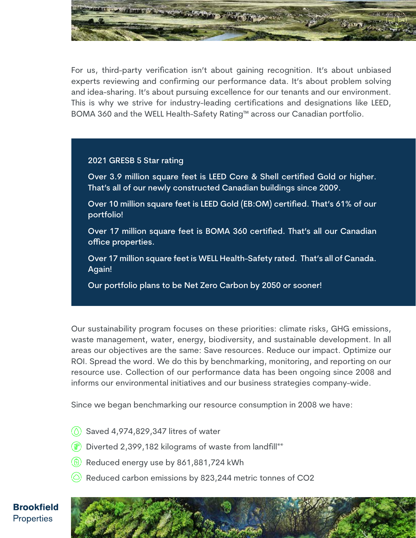

For us, third-party verification isn't about gaining recognition. It's about unbiased experts reviewing and confirming our performance data. It's about problem solving and idea-sharing. It's about pursuing excellence for our tenants and our environment. This is why we strive for industry-leading certifications and designations like LEED, BOMA 360 and the WELL Health-Safety Rating™ across our Canadian portfolio.

### 2021 GRESB 5 Star rating

- Over 3.9 million square feet is LEED Core & Shell certified Gold or higher. That's all of our newly constructed Canadian buildings since 2009.
- Over 10 million square feet is LEED Gold (EB:OM) certified. That's 61% of our portfolio!
- Over 17 million square feet is BOMA 360 certified. That's all our Canadian office properties.
- Over 17 million square feet is WELL Health-Safety rated. That's all of Canada. Again!
- Our portfolio plans to be Net Zero Carbon by 2050 or sooner!

Our sustainability program focuses on these priorities: climate risks, GHG emissions, waste management, water, energy, biodiversity, and sustainable development. In all areas our objectives are the same: Save resources. Reduce our impact. Optimize our ROI. Spread the word. We do this by benchmarking, monitoring, and reporting on our resource use. Collection of our performance data has been ongoing since 2008 and informs our environmental initiatives and our business strategies company-wide.

Since we began benchmarking our resource consumption in 2008 we have:

- $\circ$  Saved 4,974,829,347 litres of water
- $\circledast$  Diverted 2,399,182 kilograms of waste from landfill\*\*
- $\left(\begin{matrix} 6 \end{matrix}\right)$  Reduced energy use by 861,881,724 kWh
- $\circledcirc$  Reduced carbon emissions by 823,244 metric tonnes of CO2